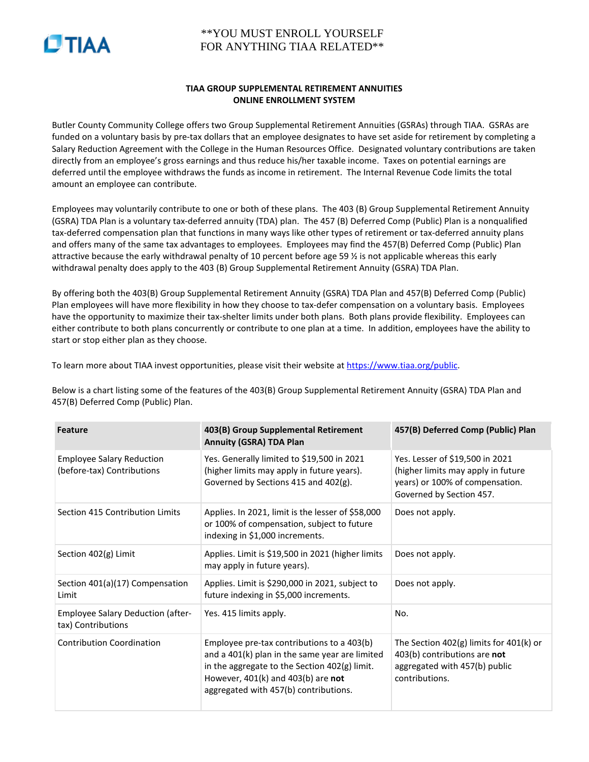

## \*\*YOU MUST ENROLL YOURSELF FOR ANYTHING TIAA RELATED\*\*

## **TIAA GROUP SUPPLEMENTAL RETIREMENT ANNUITIES ONLINE ENROLLMENT SYSTEM**

Butler County Community College offers two Group Supplemental Retirement Annuities (GSRAs) through TIAA. GSRAs are funded on a voluntary basis by pre-tax dollars that an employee designates to have set aside for retirement by completing a Salary Reduction Agreement with the College in the Human Resources Office. Designated voluntary contributions are taken directly from an employee's gross earnings and thus reduce his/her taxable income. Taxes on potential earnings are deferred until the employee withdraws the funds as income in retirement. The Internal Revenue Code limits the total amount an employee can contribute.

Employees may voluntarily contribute to one or both of these plans. The 403 (B) Group Supplemental Retirement Annuity (GSRA) TDA Plan is a voluntary tax-deferred annuity (TDA) plan. The 457 (B) Deferred Comp (Public) Plan is a nonqualified tax-deferred compensation plan that functions in many ways like other types of retirement or tax-deferred annuity plans and offers many of the same tax advantages to employees. Employees may find the 457(B) Deferred Comp (Public) Plan attractive because the early withdrawal penalty of 10 percent before age 59 ½ is not applicable whereas this early withdrawal penalty does apply to the 403 (B) Group Supplemental Retirement Annuity (GSRA) TDA Plan.

By offering both the 403(B) Group Supplemental Retirement Annuity (GSRA) TDA Plan and 457(B) Deferred Comp (Public) Plan employees will have more flexibility in how they choose to tax-defer compensation on a voluntary basis. Employees have the opportunity to maximize their tax-shelter limits under both plans. Both plans provide flexibility. Employees can either contribute to both plans concurrently or contribute to one plan at a time. In addition, employees have the ability to start or stop either plan as they choose.

To learn more about TIAA invest opportunities, please visit their website a[t https://www.tiaa.org/public.](https://www.tiaa.org/public)

Below is a chart listing some of the features of the 403(B) Group Supplemental Retirement Annuity (GSRA) TDA Plan and 457(B) Deferred Comp (Public) Plan.

| <b>Feature</b>                                                 | 403(B) Group Supplemental Retirement<br><b>Annuity (GSRA) TDA Plan</b>                                                                                                                                                       | 457(B) Deferred Comp (Public) Plan                                                                                                   |
|----------------------------------------------------------------|------------------------------------------------------------------------------------------------------------------------------------------------------------------------------------------------------------------------------|--------------------------------------------------------------------------------------------------------------------------------------|
| <b>Employee Salary Reduction</b><br>(before-tax) Contributions | Yes. Generally limited to \$19,500 in 2021<br>(higher limits may apply in future years).<br>Governed by Sections 415 and 402(g).                                                                                             | Yes. Lesser of \$19,500 in 2021<br>(higher limits may apply in future<br>years) or 100% of compensation.<br>Governed by Section 457. |
| Section 415 Contribution Limits                                | Applies. In 2021, limit is the lesser of \$58,000<br>or 100% of compensation, subject to future<br>indexing in \$1,000 increments.                                                                                           | Does not apply.                                                                                                                      |
| Section 402(g) Limit                                           | Applies. Limit is \$19,500 in 2021 (higher limits<br>may apply in future years).                                                                                                                                             | Does not apply.                                                                                                                      |
| Section 401(a)(17) Compensation<br>Limit                       | Applies. Limit is \$290,000 in 2021, subject to<br>future indexing in \$5,000 increments.                                                                                                                                    | Does not apply.                                                                                                                      |
| <b>Employee Salary Deduction (after-</b><br>tax) Contributions | Yes. 415 limits apply.                                                                                                                                                                                                       | No.                                                                                                                                  |
| <b>Contribution Coordination</b>                               | Employee pre-tax contributions to a 403(b)<br>and a 401(k) plan in the same year are limited<br>in the aggregate to the Section 402(g) limit.<br>However, 401(k) and 403(b) are not<br>aggregated with 457(b) contributions. | The Section $402(g)$ limits for $401(k)$ or<br>403(b) contributions are not<br>aggregated with 457(b) public<br>contributions.       |